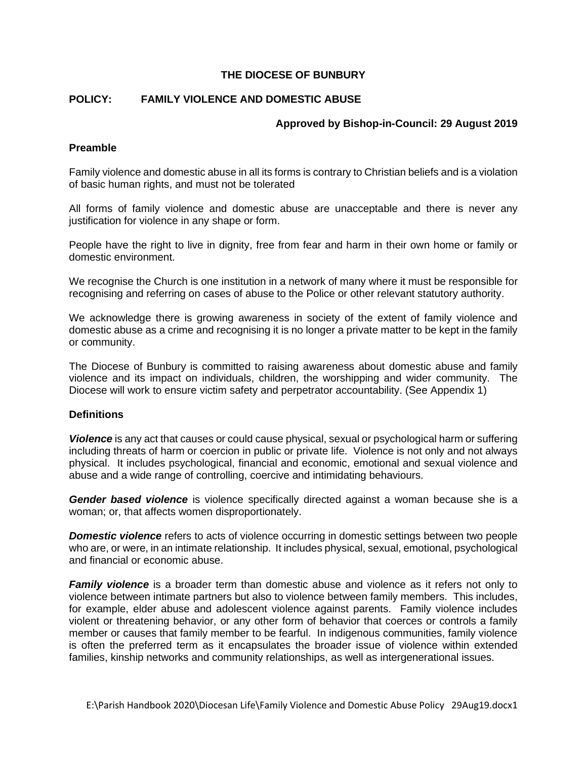# **THE DIOCESE OF BUNBURY**

# **POLICY: FAMILY VIOLENCE AND DOMESTIC ABUSE**

### **Approved by Bishop-in-Council: 29 August 2019**

## **Preamble**

Family violence and domestic abuse in all its forms is contrary to Christian beliefs and is a violation of basic human rights, and must not be tolerated

All forms of family violence and domestic abuse are unacceptable and there is never any justification for violence in any shape or form.

People have the right to live in dignity, free from fear and harm in their own home or family or domestic environment.

We recognise the Church is one institution in a network of many where it must be responsible for recognising and referring on cases of abuse to the Police or other relevant statutory authority.

We acknowledge there is growing awareness in society of the extent of family violence and domestic abuse as a crime and recognising it is no longer a private matter to be kept in the family or community.

The Diocese of Bunbury is committed to raising awareness about domestic abuse and family violence and its impact on individuals, children, the worshipping and wider community. The Diocese will work to ensure victim safety and perpetrator accountability. (See Appendix 1)

### **Definitions**

*Violence* is any act that causes or could cause physical, sexual or psychological harm or suffering including threats of harm or coercion in public or private life. Violence is not only and not always physical. It includes psychological, financial and economic, emotional and sexual violence and abuse and a wide range of controlling, coercive and intimidating behaviours.

*Gender based violence* is violence specifically directed against a woman because she is a woman; or, that affects women disproportionately.

**Domestic violence** refers to acts of violence occurring in domestic settings between two people who are, or were, in an intimate relationship. It includes physical, sexual, emotional, psychological and financial or economic abuse.

*Family violence* is a broader term than domestic abuse and violence as it refers not only to violence between intimate partners but also to violence between family members. This includes, for example, elder abuse and adolescent violence against parents. Family violence includes violent or threatening behavior, or any other form of behavior that coerces or controls a family member or causes that family member to be fearful. In indigenous communities, family violence is often the preferred term as it encapsulates the broader issue of violence within extended families, kinship networks and community relationships, as well as intergenerational issues.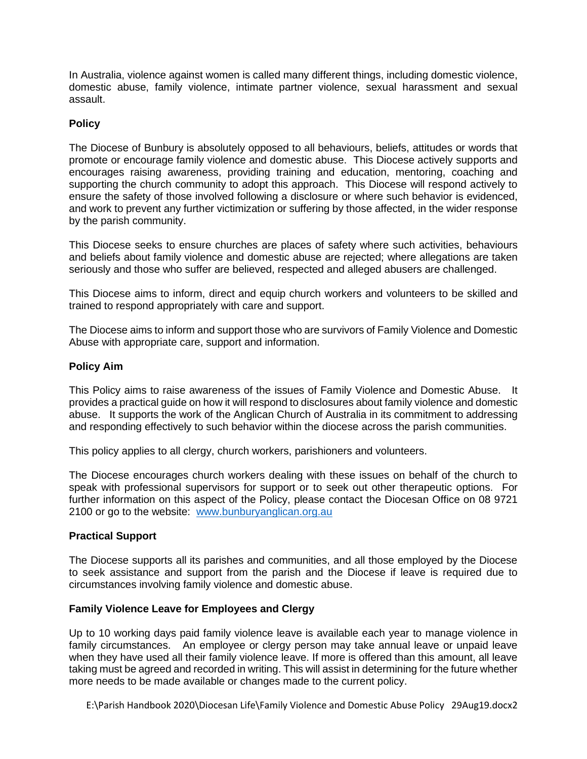In Australia, violence against women is called many different things, including domestic violence, domestic abuse, family violence, intimate partner violence, sexual harassment and sexual assault.

## **Policy**

The Diocese of Bunbury is absolutely opposed to all behaviours, beliefs, attitudes or words that promote or encourage family violence and domestic abuse. This Diocese actively supports and encourages raising awareness, providing training and education, mentoring, coaching and supporting the church community to adopt this approach. This Diocese will respond actively to ensure the safety of those involved following a disclosure or where such behavior is evidenced, and work to prevent any further victimization or suffering by those affected, in the wider response by the parish community.

This Diocese seeks to ensure churches are places of safety where such activities, behaviours and beliefs about family violence and domestic abuse are rejected; where allegations are taken seriously and those who suffer are believed, respected and alleged abusers are challenged.

This Diocese aims to inform, direct and equip church workers and volunteers to be skilled and trained to respond appropriately with care and support.

The Diocese aims to inform and support those who are survivors of Family Violence and Domestic Abuse with appropriate care, support and information.

### **Policy Aim**

This Policy aims to raise awareness of the issues of Family Violence and Domestic Abuse. It provides a practical guide on how it will respond to disclosures about family violence and domestic abuse. It supports the work of the Anglican Church of Australia in its commitment to addressing and responding effectively to such behavior within the diocese across the parish communities.

This policy applies to all clergy, church workers, parishioners and volunteers.

The Diocese encourages church workers dealing with these issues on behalf of the church to speak with professional supervisors for support or to seek out other therapeutic options. For further information on this aspect of the Policy, please contact the Diocesan Office on 08 9721 2100 or go to the website: [www.bunburyanglican.org.au](http://www.bunburyanglican.org.au/)

### **Practical Support**

The Diocese supports all its parishes and communities, and all those employed by the Diocese to seek assistance and support from the parish and the Diocese if leave is required due to circumstances involving family violence and domestic abuse.

### **Family Violence Leave for Employees and Clergy**

Up to 10 working days paid family violence leave is available each year to manage violence in family circumstances. An employee or clergy person may take annual leave or unpaid leave when they have used all their family violence leave. If more is offered than this amount, all leave taking must be agreed and recorded in writing. This will assist in determining for the future whether more needs to be made available or changes made to the current policy.

E:\Parish Handbook 2020\Diocesan Life\Family Violence and Domestic Abuse Policy 29Aug19.docx2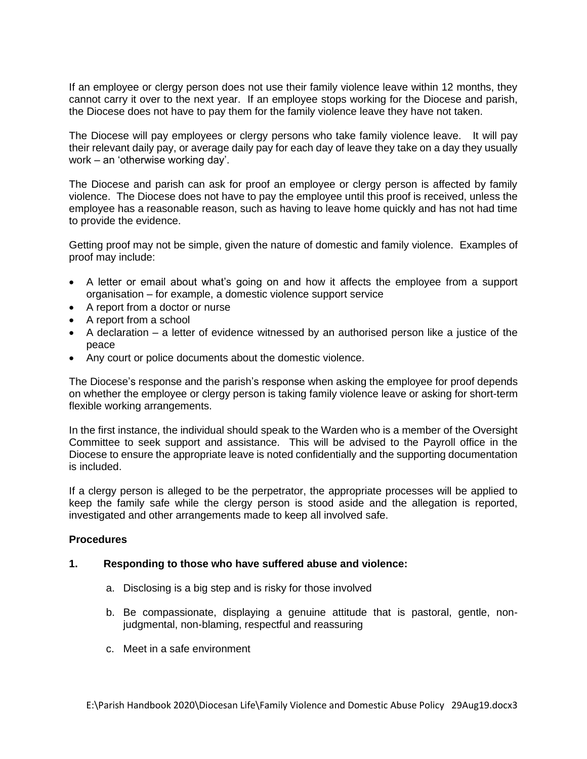If an employee or clergy person does not use their family violence leave within 12 months, they cannot carry it over to the next year. If an employee stops working for the Diocese and parish, the Diocese does not have to pay them for the family violence leave they have not taken.

The Diocese will pay employees or clergy persons who take family violence leave. It will pay their relevant daily pay, or average daily pay for each day of leave they take on a day they usually work – an 'otherwise working day'.

The Diocese and parish can ask for proof an employee or clergy person is affected by family violence. The Diocese does not have to pay the employee until this proof is received, unless the employee has a reasonable reason, such as having to leave home quickly and has not had time to provide the evidence.

Getting proof may not be simple, given the nature of domestic and family violence. Examples of proof may include:

- A letter or email about what's going on and how it affects the employee from a support organisation – for example, a domestic violence support service
- A report from a doctor or nurse
- A report from a school
- A declaration a letter of evidence witnessed by an authorised person like a justice of the peace
- Any court or police documents about the domestic violence.

The Diocese's response and the parish's response when asking the employee for proof depends on whether the employee or clergy person is taking family violence leave or asking for short-term flexible working arrangements.

In the first instance, the individual should speak to the Warden who is a member of the Oversight Committee to seek support and assistance. This will be advised to the Payroll office in the Diocese to ensure the appropriate leave is noted confidentially and the supporting documentation is included.

If a clergy person is alleged to be the perpetrator, the appropriate processes will be applied to keep the family safe while the clergy person is stood aside and the allegation is reported, investigated and other arrangements made to keep all involved safe.

### **Procedures**

### **1. Responding to those who have suffered abuse and violence:**

- a. Disclosing is a big step and is risky for those involved
- b. Be compassionate, displaying a genuine attitude that is pastoral, gentle, nonjudgmental, non-blaming, respectful and reassuring
- c. Meet in a safe environment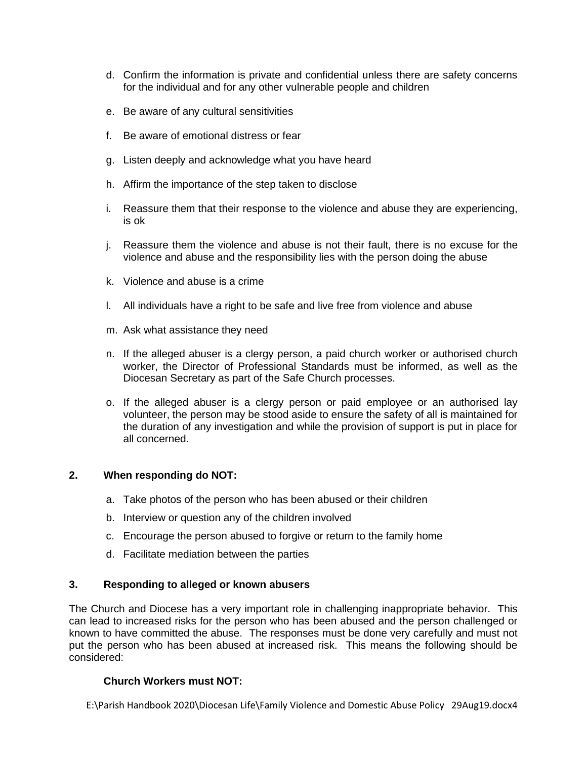- d. Confirm the information is private and confidential unless there are safety concerns for the individual and for any other vulnerable people and children
- e. Be aware of any cultural sensitivities
- f. Be aware of emotional distress or fear
- g. Listen deeply and acknowledge what you have heard
- h. Affirm the importance of the step taken to disclose
- i. Reassure them that their response to the violence and abuse they are experiencing, is ok
- j. Reassure them the violence and abuse is not their fault, there is no excuse for the violence and abuse and the responsibility lies with the person doing the abuse
- k. Violence and abuse is a crime
- l. All individuals have a right to be safe and live free from violence and abuse
- m. Ask what assistance they need
- n. If the alleged abuser is a clergy person, a paid church worker or authorised church worker, the Director of Professional Standards must be informed, as well as the Diocesan Secretary as part of the Safe Church processes.
- o. If the alleged abuser is a clergy person or paid employee or an authorised lay volunteer, the person may be stood aside to ensure the safety of all is maintained for the duration of any investigation and while the provision of support is put in place for all concerned.

## **2. When responding do NOT:**

- a. Take photos of the person who has been abused or their children
- b. Interview or question any of the children involved
- c. Encourage the person abused to forgive or return to the family home
- d. Facilitate mediation between the parties

### **3. Responding to alleged or known abusers**

The Church and Diocese has a very important role in challenging inappropriate behavior. This can lead to increased risks for the person who has been abused and the person challenged or known to have committed the abuse. The responses must be done very carefully and must not put the person who has been abused at increased risk. This means the following should be considered:

# **Church Workers must NOT:**

E:\Parish Handbook 2020\Diocesan Life\Family Violence and Domestic Abuse Policy 29Aug19.docx4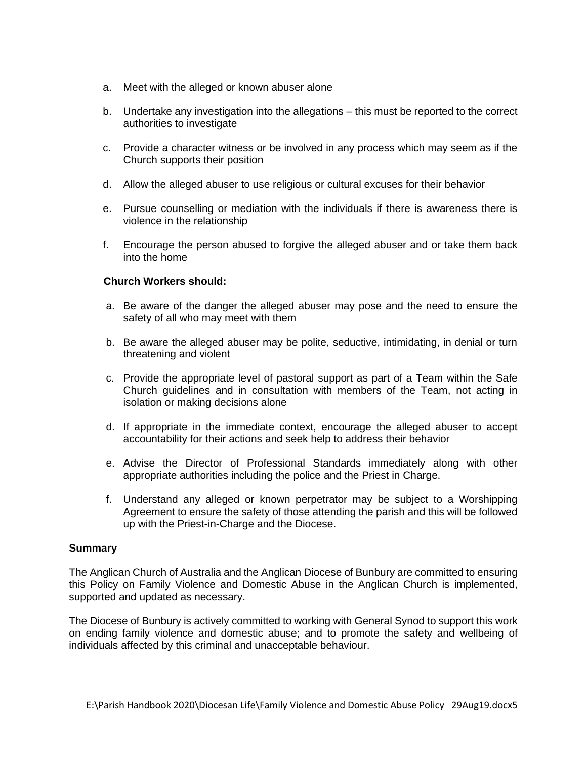- a. Meet with the alleged or known abuser alone
- b. Undertake any investigation into the allegations this must be reported to the correct authorities to investigate
- c. Provide a character witness or be involved in any process which may seem as if the Church supports their position
- d. Allow the alleged abuser to use religious or cultural excuses for their behavior
- e. Pursue counselling or mediation with the individuals if there is awareness there is violence in the relationship
- f. Encourage the person abused to forgive the alleged abuser and or take them back into the home

### **Church Workers should:**

- a. Be aware of the danger the alleged abuser may pose and the need to ensure the safety of all who may meet with them
- b. Be aware the alleged abuser may be polite, seductive, intimidating, in denial or turn threatening and violent
- c. Provide the appropriate level of pastoral support as part of a Team within the Safe Church guidelines and in consultation with members of the Team, not acting in isolation or making decisions alone
- d. If appropriate in the immediate context, encourage the alleged abuser to accept accountability for their actions and seek help to address their behavior
- e. Advise the Director of Professional Standards immediately along with other appropriate authorities including the police and the Priest in Charge.
- f. Understand any alleged or known perpetrator may be subject to a Worshipping Agreement to ensure the safety of those attending the parish and this will be followed up with the Priest-in-Charge and the Diocese.

### **Summary**

The Anglican Church of Australia and the Anglican Diocese of Bunbury are committed to ensuring this Policy on Family Violence and Domestic Abuse in the Anglican Church is implemented, supported and updated as necessary.

The Diocese of Bunbury is actively committed to working with General Synod to support this work on ending family violence and domestic abuse; and to promote the safety and wellbeing of individuals affected by this criminal and unacceptable behaviour.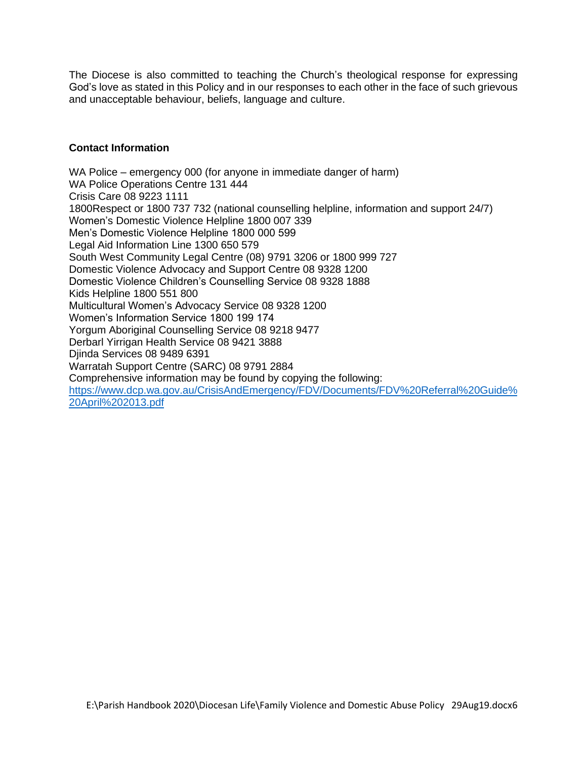The Diocese is also committed to teaching the Church's theological response for expressing God's love as stated in this Policy and in our responses to each other in the face of such grievous and unacceptable behaviour, beliefs, language and culture.

# **Contact Information**

WA Police – emergency 000 (for anyone in immediate danger of harm) WA Police Operations Centre 131 444 Crisis Care 08 9223 1111 1800Respect or 1800 737 732 (national counselling helpline, information and support 24/7) Women's Domestic Violence Helpline 1800 007 339 Men's Domestic Violence Helpline 1800 000 599 Legal Aid Information Line 1300 650 579 South West Community Legal Centre (08) 9791 3206 or 1800 999 727 Domestic Violence Advocacy and Support Centre 08 9328 1200 Domestic Violence Children's Counselling Service 08 9328 1888 Kids Helpline 1800 551 800 Multicultural Women's Advocacy Service 08 9328 1200 Women's Information Service 1800 199 174 Yorgum Aboriginal Counselling Service 08 9218 9477 Derbarl Yirrigan Health Service 08 9421 3888 Djinda Services 08 9489 6391 Warratah Support Centre (SARC) 08 9791 2884 Comprehensive information may be found by copying the following: [https://www.dcp.wa.gov.au/CrisisAndEmergency/FDV/Documents/FDV%20Referral%20Guide%](https://www.dcp.wa.gov.au/CrisisAndEmergency/FDV/Documents/FDV%20Referral%20Guide%20April%202013.pdf) [20April%202013.pdf](https://www.dcp.wa.gov.au/CrisisAndEmergency/FDV/Documents/FDV%20Referral%20Guide%20April%202013.pdf)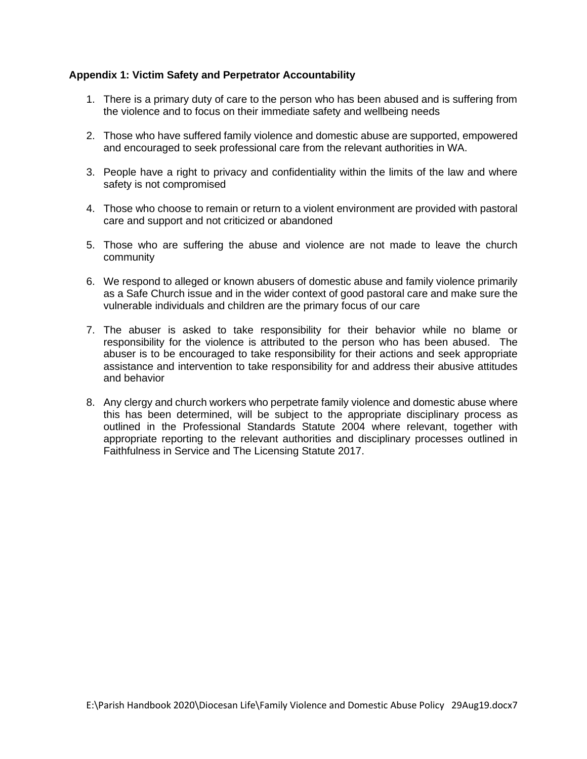# **Appendix 1: Victim Safety and Perpetrator Accountability**

- 1. There is a primary duty of care to the person who has been abused and is suffering from the violence and to focus on their immediate safety and wellbeing needs
- 2. Those who have suffered family violence and domestic abuse are supported, empowered and encouraged to seek professional care from the relevant authorities in WA.
- 3. People have a right to privacy and confidentiality within the limits of the law and where safety is not compromised
- 4. Those who choose to remain or return to a violent environment are provided with pastoral care and support and not criticized or abandoned
- 5. Those who are suffering the abuse and violence are not made to leave the church community
- 6. We respond to alleged or known abusers of domestic abuse and family violence primarily as a Safe Church issue and in the wider context of good pastoral care and make sure the vulnerable individuals and children are the primary focus of our care
- 7. The abuser is asked to take responsibility for their behavior while no blame or responsibility for the violence is attributed to the person who has been abused. The abuser is to be encouraged to take responsibility for their actions and seek appropriate assistance and intervention to take responsibility for and address their abusive attitudes and behavior
- 8. Any clergy and church workers who perpetrate family violence and domestic abuse where this has been determined, will be subject to the appropriate disciplinary process as outlined in the Professional Standards Statute 2004 where relevant, together with appropriate reporting to the relevant authorities and disciplinary processes outlined in Faithfulness in Service and The Licensing Statute 2017.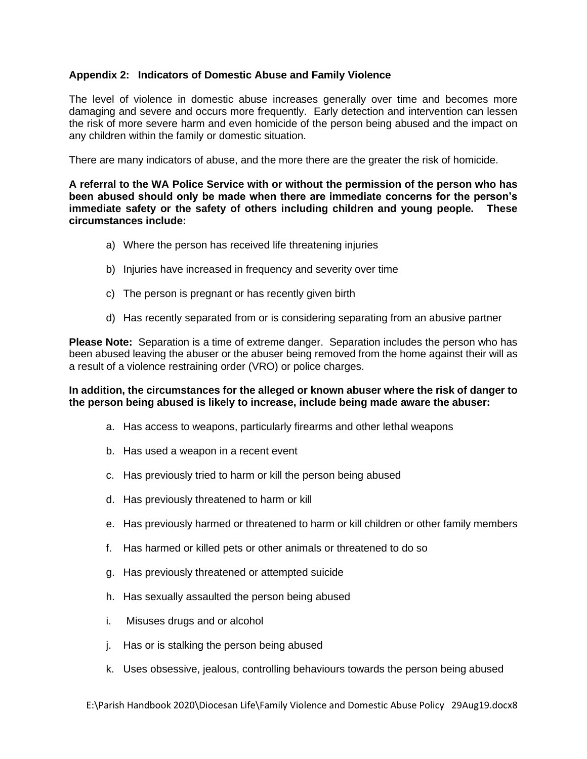## **Appendix 2: Indicators of Domestic Abuse and Family Violence**

The level of violence in domestic abuse increases generally over time and becomes more damaging and severe and occurs more frequently. Early detection and intervention can lessen the risk of more severe harm and even homicide of the person being abused and the impact on any children within the family or domestic situation.

There are many indicators of abuse, and the more there are the greater the risk of homicide.

**A referral to the WA Police Service with or without the permission of the person who has been abused should only be made when there are immediate concerns for the person's immediate safety or the safety of others including children and young people. These circumstances include:**

- a) Where the person has received life threatening injuries
- b) Injuries have increased in frequency and severity over time
- c) The person is pregnant or has recently given birth
- d) Has recently separated from or is considering separating from an abusive partner

**Please Note:** Separation is a time of extreme danger. Separation includes the person who has been abused leaving the abuser or the abuser being removed from the home against their will as a result of a violence restraining order (VRO) or police charges.

### **In addition, the circumstances for the alleged or known abuser where the risk of danger to the person being abused is likely to increase, include being made aware the abuser:**

- a. Has access to weapons, particularly firearms and other lethal weapons
- b. Has used a weapon in a recent event
- c. Has previously tried to harm or kill the person being abused
- d. Has previously threatened to harm or kill
- e. Has previously harmed or threatened to harm or kill children or other family members
- f. Has harmed or killed pets or other animals or threatened to do so
- g. Has previously threatened or attempted suicide
- h. Has sexually assaulted the person being abused
- i. Misuses drugs and or alcohol
- j. Has or is stalking the person being abused
- k. Uses obsessive, jealous, controlling behaviours towards the person being abused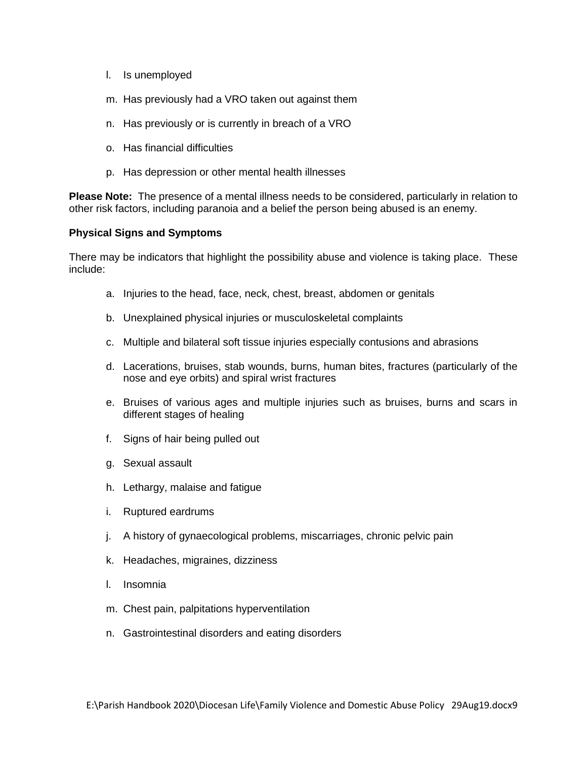- l. Is unemployed
- m. Has previously had a VRO taken out against them
- n. Has previously or is currently in breach of a VRO
- o. Has financial difficulties
- p. Has depression or other mental health illnesses

**Please Note:** The presence of a mental illness needs to be considered, particularly in relation to other risk factors, including paranoia and a belief the person being abused is an enemy.

# **Physical Signs and Symptoms**

There may be indicators that highlight the possibility abuse and violence is taking place. These include:

- a. Injuries to the head, face, neck, chest, breast, abdomen or genitals
- b. Unexplained physical injuries or musculoskeletal complaints
- c. Multiple and bilateral soft tissue injuries especially contusions and abrasions
- d. Lacerations, bruises, stab wounds, burns, human bites, fractures (particularly of the nose and eye orbits) and spiral wrist fractures
- e. Bruises of various ages and multiple injuries such as bruises, burns and scars in different stages of healing
- f. Signs of hair being pulled out
- g. Sexual assault
- h. Lethargy, malaise and fatigue
- i. Ruptured eardrums
- j. A history of gynaecological problems, miscarriages, chronic pelvic pain
- k. Headaches, migraines, dizziness
- l. Insomnia
- m. Chest pain, palpitations hyperventilation
- n. Gastrointestinal disorders and eating disorders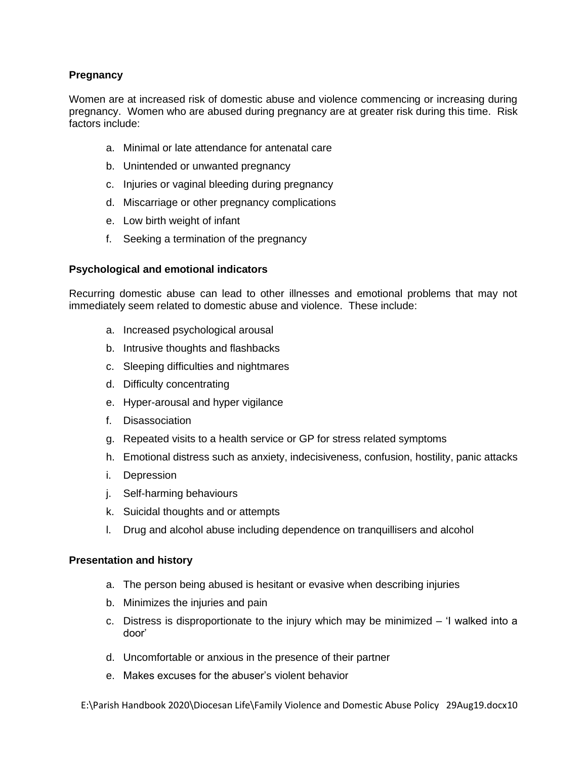# **Pregnancy**

Women are at increased risk of domestic abuse and violence commencing or increasing during pregnancy. Women who are abused during pregnancy are at greater risk during this time. Risk factors include:

- a. Minimal or late attendance for antenatal care
- b. Unintended or unwanted pregnancy
- c. Injuries or vaginal bleeding during pregnancy
- d. Miscarriage or other pregnancy complications
- e. Low birth weight of infant
- f. Seeking a termination of the pregnancy

### **Psychological and emotional indicators**

Recurring domestic abuse can lead to other illnesses and emotional problems that may not immediately seem related to domestic abuse and violence. These include:

- a. Increased psychological arousal
- b. Intrusive thoughts and flashbacks
- c. Sleeping difficulties and nightmares
- d. Difficulty concentrating
- e. Hyper-arousal and hyper vigilance
- f. Disassociation
- g. Repeated visits to a health service or GP for stress related symptoms
- h. Emotional distress such as anxiety, indecisiveness, confusion, hostility, panic attacks
- i. Depression
- j. Self-harming behaviours
- k. Suicidal thoughts and or attempts
- l. Drug and alcohol abuse including dependence on tranquillisers and alcohol

### **Presentation and history**

- a. The person being abused is hesitant or evasive when describing injuries
- b. Minimizes the injuries and pain
- c. Distress is disproportionate to the injury which may be minimized 'I walked into a door'
- d. Uncomfortable or anxious in the presence of their partner
- e. Makes excuses for the abuser's violent behavior